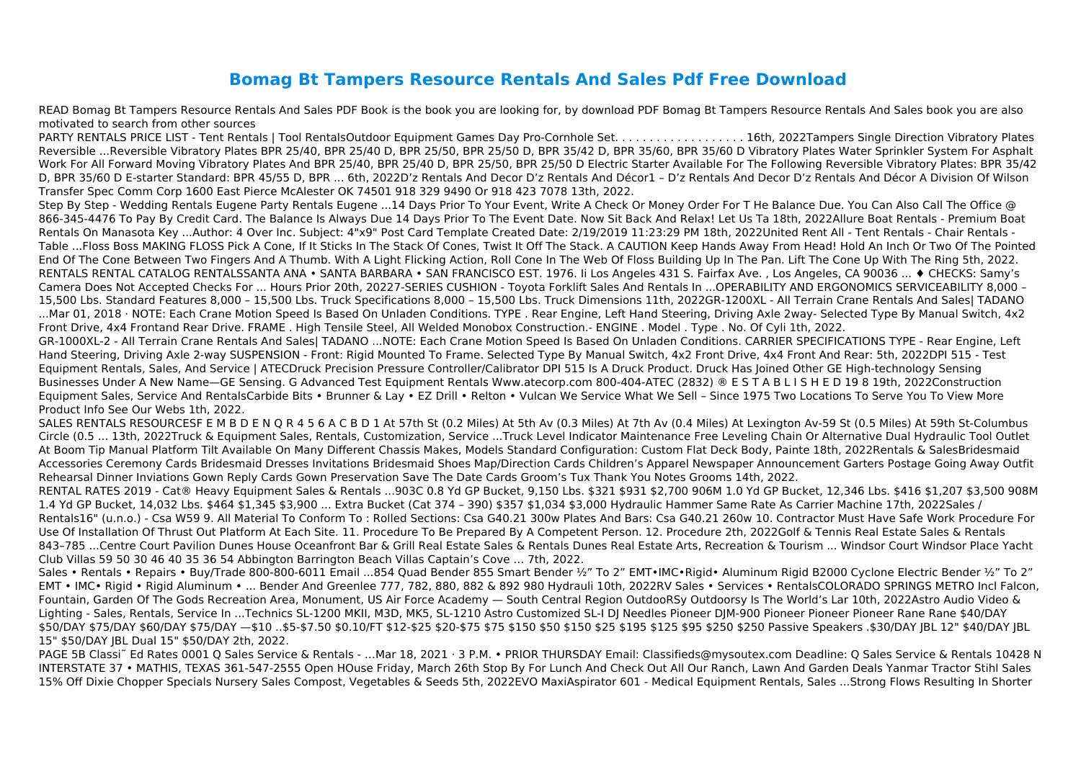## **Bomag Bt Tampers Resource Rentals And Sales Pdf Free Download**

READ Bomag Bt Tampers Resource Rentals And Sales PDF Book is the book you are looking for, by download PDF Bomag Bt Tampers Resource Rentals And Sales book you are also motivated to search from other sources

PARTY RENTALS PRICE LIST - Tent Rentals | Tool RentalsOutdoor Equipment Games Day Pro-Cornhole Set. . . . . . . . . . . . . . . . . . . 16th, 2022Tampers Single Direction Vibratory Plates Reversible ...Reversible Vibratory Plates BPR 25/40, BPR 25/40 D, BPR 25/50, BPR 25/50 D, BPR 35/42 D, BPR 35/60, BPR 35/60 D Vibratory Plates Water Sprinkler System For Asphalt Work For All Forward Moving Vibratory Plates And BPR 25/40, BPR 25/40 D, BPR 25/50, BPR 25/50 D Electric Starter Available For The Following Reversible Vibratory Plates: BPR 35/42 D, BPR 35/60 D E-starter Standard: BPR 45/55 D, BPR ... 6th, 2022D'z Rentals And Decor D'z Rentals And Décor1 – D'z Rentals And Decor D'z Rentals And Décor A Division Of Wilson Transfer Spec Comm Corp 1600 East Pierce McAlester OK 74501 918 329 9490 Or 918 423 7078 13th, 2022.

Step By Step - Wedding Rentals Eugene Party Rentals Eugene ...14 Days Prior To Your Event, Write A Check Or Money Order For T He Balance Due. You Can Also Call The Office @ 866-345-4476 To Pay By Credit Card. The Balance Is Always Due 14 Days Prior To The Event Date. Now Sit Back And Relax! Let Us Ta 18th, 2022Allure Boat Rentals - Premium Boat Rentals On Manasota Key ...Author: 4 Over Inc. Subject: 4"x9" Post Card Template Created Date: 2/19/2019 11:23:29 PM 18th, 2022United Rent All - Tent Rentals - Chair Rentals - Table ...Floss Boss MAKING FLOSS Pick A Cone, If It Sticks In The Stack Of Cones, Twist It Off The Stack. A CAUTION Keep Hands Away From Head! Hold An Inch Or Two Of The Pointed End Of The Cone Between Two Fingers And A Thumb. With A Light Flicking Action, Roll Cone In The Web Of Floss Building Up In The Pan. Lift The Cone Up With The Ring 5th, 2022. RENTALS RENTAL CATALOG RENTALSSANTA ANA • SANTA BARBARA • SAN FRANCISCO EST. 1976. Ii Los Angeles 431 S. Fairfax Ave., Los Angeles, CA 90036 ... ♦ CHECKS: Samy's Camera Does Not Accepted Checks For ... Hours Prior 20th, 20227-SERIES CUSHION - Toyota Forklift Sales And Rentals In ...OPERABILITY AND ERGONOMICS SERVICEABILITY 8,000 – 15,500 Lbs. Standard Features 8,000 – 15,500 Lbs. Truck Specifications 8,000 – 15,500 Lbs. Truck Dimensions 11th, 2022GR-1200XL - All Terrain Crane Rentals And Sales| TADANO ...Mar 01, 2018 · NOTE: Each Crane Motion Speed Is Based On Unladen Conditions. TYPE . Rear Engine, Left Hand Steering, Driving Axle 2way- Selected Type By Manual Switch, 4x2 Front Drive, 4x4 Frontand Rear Drive. FRAME . High Tensile Steel, All Welded Monobox Construction.- ENGINE . Model . Type . No. Of Cyli 1th, 2022. GR-1000XL-2 - All Terrain Crane Rentals And Sales| TADANO ...NOTE: Each Crane Motion Speed Is Based On Unladen Conditions. CARRIER SPECIFICATIONS TYPE - Rear Engine, Left Hand Steering, Driving Axle 2-way SUSPENSION - Front: Rigid Mounted To Frame. Selected Type By Manual Switch, 4x2 Front Drive, 4x4 Front And Rear: 5th, 2022DPI 515 - Test Equipment Rentals, Sales, And Service | ATECDruck Precision Pressure Controller/Calibrator DPI 515 Is A Druck Product. Druck Has Joined Other GE High-technology Sensing Businesses Under A New Name—GE Sensing. G Advanced Test Equipment Rentals Www.atecorp.com 800-404-ATEC (2832) ® E S T A B L I S H E D 19 8 19th, 2022Construction Equipment Sales, Service And RentalsCarbide Bits • Brunner & Lay • EZ Drill • Relton • Vulcan We Service What We Sell – Since 1975 Two Locations To Serve You To View More Product Info See Our Webs 1th, 2022.

SALES RENTALS RESOURCESF E M B D E N Q R 4 5 6 A C B D 1 At 57th St (0.2 Miles) At 5th Av (0.3 Miles) At 7th Av (0.4 Miles) At Lexington Av-59 St (0.5 Miles) At 59th St-Columbus Circle (0.5 ... 13th, 2022Truck & Equipment Sales, Rentals, Customization, Service ...Truck Level Indicator Maintenance Free Leveling Chain Or Alternative Dual Hydraulic Tool Outlet At Boom Tip Manual Platform Tilt Available On Many Different Chassis Makes, Models Standard Configuration: Custom Flat Deck Body, Painte 18th, 2022Rentals & SalesBridesmaid Accessories Ceremony Cards Bridesmaid Dresses Invitations Bridesmaid Shoes Map/Direction Cards Children's Apparel Newspaper Announcement Garters Postage Going Away Outfit Rehearsal Dinner Inviations Gown Reply Cards Gown Preservation Save The Date Cards Groom's Tux Thank You Notes Grooms 14th, 2022.

RENTAL RATES 2019 - Cat® Heavy Equipment Sales & Rentals ...903C 0.8 Yd GP Bucket, 9,150 Lbs. \$321 \$931 \$2,700 906M 1.0 Yd GP Bucket, 12,346 Lbs. \$416 \$1,207 \$3,500 908M 1.4 Yd GP Bucket, 14,032 Lbs. \$464 \$1,345 \$3,900 ... Extra Bucket (Cat 374 – 390) \$357 \$1,034 \$3,000 Hydraulic Hammer Same Rate As Carrier Machine 17th, 2022Sales / Rentals16" (u.n.o.) - Csa W59 9. All Material To Conform To : Rolled Sections: Csa G40.21 300w Plates And Bars: Csa G40.21 260w 10. Contractor Must Have Safe Work Procedure For Use Of Installation Of Thrust Out Platform At Each Site. 11. Procedure To Be Prepared By A Competent Person. 12. Procedure 2th, 2022Golf & Tennis Real Estate Sales & Rentals 843–785 ...Centre Court Pavilion Dunes House Oceanfront Bar & Grill Real Estate Sales & Rentals Dunes Real Estate Arts, Recreation & Tourism ... Windsor Court Windsor Place Yacht Club Villas 59 50 30 46 40 35 36 54 Abbington Barrington Beach Villas Captain's Cove … 7th, 2022.

Sales • Rentals • Repairs • Buy/Trade 800-800-6011 Email ...854 Quad Bender 855 Smart Bender ½" To 2" EMT•IMC•Rigid• Aluminum Rigid B2000 Cyclone Electric Bender ½" To 2" EMT • IMC • Rigid • Rigid Aluminum • ... Bender And Greenlee 777, 782, 880, 882 & 892 980 Hydrauli 10th, 2022RV Sales • Services • RentalsCOLORADO SPRINGS METRO Incl Falcon, Fountain, Garden Of The Gods Recreation Area, Monument, US Air Force Academy — South Central Region OutdooRSy Outdoorsy Is The World's Lar 10th, 2022Astro Audio Video & Lighting - Sales, Rentals, Service In ...Technics SL-1200 MKII, M3D, MK5, SL-1210 Astro Customized SL-I DJ Needles Pioneer DJM-900 Pioneer Pioneer Pioneer Rane Rane \$40/DAY \$50/DAY \$75/DAY \$60/DAY \$75/DAY -\$10 ..\$5-\$7.50 \$0.10/FT \$12-\$25 \$20-\$75 \$75 \$150 \$50 \$150 \$25 \$195 \$125 \$95 \$250 \$250 Passive Speakers .\$30/DAY JBL 12" \$40/DAY JBL 15" \$50/DAY JBL Dual 15" \$50/DAY 2th, 2022.

PAGE 5B Classi˜ Ed Rates 0001 Q Sales Service & Rentals - …Mar 18, 2021 · 3 P.M. • PRIOR THURSDAY Email: Classifieds@mysoutex.com Deadline: Q Sales Service & Rentals 10428 N INTERSTATE 37 • MATHIS, TEXAS 361-547-2555 Open HOuse Friday, March 26th Stop By For Lunch And Check Out All Our Ranch, Lawn And Garden Deals Yanmar Tractor Stihl Sales 15% Off Dixie Chopper Specials Nursery Sales Compost, Vegetables & Seeds 5th, 2022EVO MaxiAspirator 601 - Medical Equipment Rentals, Sales ...Strong Flows Resulting In Shorter